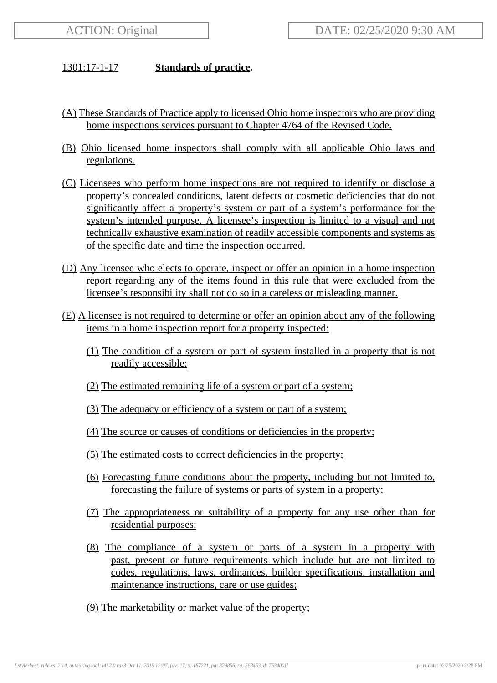## 1301:17-1-17 **Standards of practice.**

- (A) These Standards of Practice apply to licensed Ohio home inspectors who are providing home inspections services pursuant to Chapter 4764 of the Revised Code.
- (B) Ohio licensed home inspectors shall comply with all applicable Ohio laws and regulations.
- (C) Licensees who perform home inspections are not required to identify or disclose a property's concealed conditions, latent defects or cosmetic deficiencies that do not significantly affect a property's system or part of a system's performance for the system's intended purpose. A licensee's inspection is limited to a visual and not technically exhaustive examination of readily accessible components and systems as of the specific date and time the inspection occurred.
- (D) Any licensee who elects to operate, inspect or offer an opinion in a home inspection report regarding any of the items found in this rule that were excluded from the licensee's responsibility shall not do so in a careless or misleading manner.
- (E) A licensee is not required to determine or offer an opinion about any of the following items in a home inspection report for a property inspected:
	- (1) The condition of a system or part of system installed in a property that is not readily accessible;
	- (2) The estimated remaining life of a system or part of a system;
	- (3) The adequacy or efficiency of a system or part of a system;
	- (4) The source or causes of conditions or deficiencies in the property;
	- (5) The estimated costs to correct deficiencies in the property;
	- (6) Forecasting future conditions about the property, including but not limited to, forecasting the failure of systems or parts of system in a property;
	- (7) The appropriateness or suitability of a property for any use other than for residential purposes;
	- (8) The compliance of a system or parts of a system in a property with past, present or future requirements which include but are not limited to codes, regulations, laws, ordinances, builder specifications, installation and maintenance instructions, care or use guides;
	- (9) The marketability or market value of the property;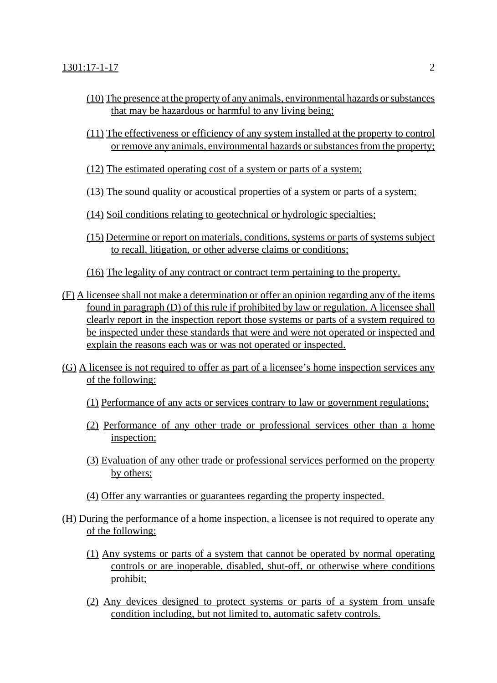- (10) The presence at the property of any animals, environmental hazards or substances that may be hazardous or harmful to any living being;
- (11) The effectiveness or efficiency of any system installed at the property to control or remove any animals, environmental hazards or substances from the property;
- (12) The estimated operating cost of a system or parts of a system;
- (13) The sound quality or acoustical properties of a system or parts of a system;
- (14) Soil conditions relating to geotechnical or hydrologic specialties;
- (15) Determine or report on materials, conditions, systems or parts of systems subject to recall, litigation, or other adverse claims or conditions;
- (16) The legality of any contract or contract term pertaining to the property.
- (F) A licensee shall not make a determination or offer an opinion regarding any of the items found in paragraph (D) of this rule if prohibited by law or regulation. A licensee shall clearly report in the inspection report those systems or parts of a system required to be inspected under these standards that were and were not operated or inspected and explain the reasons each was or was not operated or inspected.
- (G) A licensee is not required to offer as part of a licensee's home inspection services any of the following:
	- (1) Performance of any acts or services contrary to law or government regulations;
	- (2) Performance of any other trade or professional services other than a home inspection;
	- (3) Evaluation of any other trade or professional services performed on the property by others;
	- (4) Offer any warranties or guarantees regarding the property inspected.
- (H) During the performance of a home inspection, a licensee is not required to operate any of the following:
	- (1) Any systems or parts of a system that cannot be operated by normal operating controls or are inoperable, disabled, shut-off, or otherwise where conditions prohibit;
	- (2) Any devices designed to protect systems or parts of a system from unsafe condition including, but not limited to, automatic safety controls.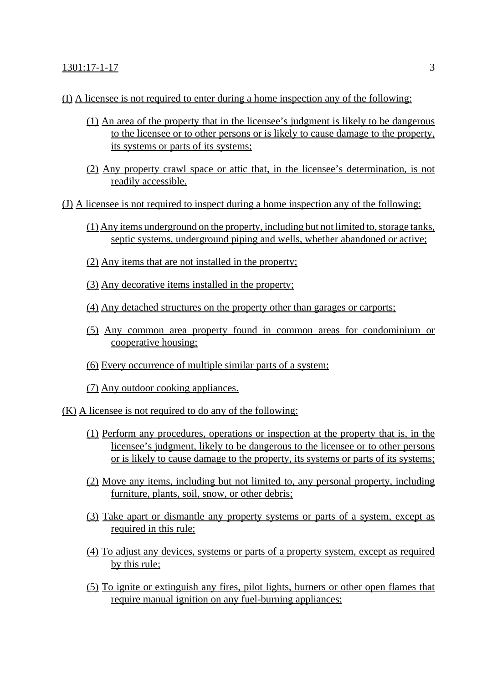## 1301:17-1-17 3

- (I) A licensee is not required to enter during a home inspection any of the following:
	- (1) An area of the property that in the licensee's judgment is likely to be dangerous to the licensee or to other persons or is likely to cause damage to the property, its systems or parts of its systems;
	- (2) Any property crawl space or attic that, in the licensee's determination, is not readily accessible.
- (J) A licensee is not required to inspect during a home inspection any of the following:
	- (1) Any items underground on the property, including but not limited to, storage tanks, septic systems, underground piping and wells, whether abandoned or active;
	- (2) Any items that are not installed in the property;
	- (3) Any decorative items installed in the property;
	- (4) Any detached structures on the property other than garages or carports;
	- (5) Any common area property found in common areas for condominium or cooperative housing;
	- (6) Every occurrence of multiple similar parts of a system;
	- (7) Any outdoor cooking appliances.
- (K) A licensee is not required to do any of the following:
	- (1) Perform any procedures, operations or inspection at the property that is, in the licensee's judgment, likely to be dangerous to the licensee or to other persons or is likely to cause damage to the property, its systems or parts of its systems;
	- (2) Move any items, including but not limited to, any personal property, including furniture, plants, soil, snow, or other debris;
	- (3) Take apart or dismantle any property systems or parts of a system, except as required in this rule;
	- (4) To adjust any devices, systems or parts of a property system, except as required by this rule;
	- (5) To ignite or extinguish any fires, pilot lights, burners or other open flames that require manual ignition on any fuel-burning appliances;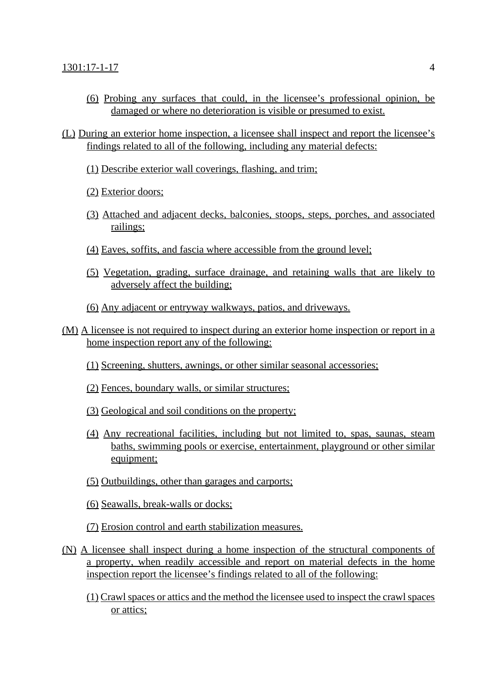- (6) Probing any surfaces that could, in the licensee's professional opinion, be damaged or where no deterioration is visible or presumed to exist.
- (L) During an exterior home inspection, a licensee shall inspect and report the licensee's findings related to all of the following, including any material defects:
	- (1) Describe exterior wall coverings, flashing, and trim;
	- (2) Exterior doors;
	- (3) Attached and adjacent decks, balconies, stoops, steps, porches, and associated railings;
	- (4) Eaves, soffits, and fascia where accessible from the ground level;
	- (5) Vegetation, grading, surface drainage, and retaining walls that are likely to adversely affect the building;
	- (6) Any adjacent or entryway walkways, patios, and driveways.
- (M) A licensee is not required to inspect during an exterior home inspection or report in a home inspection report any of the following:
	- (1) Screening, shutters, awnings, or other similar seasonal accessories;
	- (2) Fences, boundary walls, or similar structures;
	- (3) Geological and soil conditions on the property;
	- (4) Any recreational facilities, including but not limited to, spas, saunas, steam baths, swimming pools or exercise, entertainment, playground or other similar equipment;
	- (5) Outbuildings, other than garages and carports;
	- (6) Seawalls, break-walls or docks;
	- (7) Erosion control and earth stabilization measures.
- (N) A licensee shall inspect during a home inspection of the structural components of a property, when readily accessible and report on material defects in the home inspection report the licensee's findings related to all of the following:
	- (1) Crawl spaces or attics and the method the licensee used to inspect the crawl spaces or attics;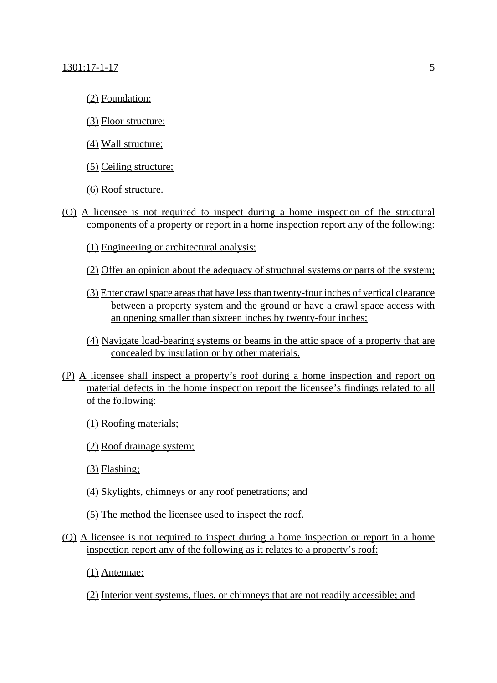- (2) Foundation;
- (3) Floor structure;
- (4) Wall structure;
- (5) Ceiling structure;
- (6) Roof structure.
- (O) A licensee is not required to inspect during a home inspection of the structural components of a property or report in a home inspection report any of the following:
	- (1) Engineering or architectural analysis;
	- (2) Offer an opinion about the adequacy of structural systems or parts of the system;
	- (3) Enter crawl space areas that have less than twenty-four inches of vertical clearance between a property system and the ground or have a crawl space access with an opening smaller than sixteen inches by twenty-four inches;
	- (4) Navigate load-bearing systems or beams in the attic space of a property that are concealed by insulation or by other materials.
- (P) A licensee shall inspect a property's roof during a home inspection and report on material defects in the home inspection report the licensee's findings related to all of the following:
	- (1) Roofing materials;
	- (2) Roof drainage system;
	- (3) Flashing;
	- (4) Skylights, chimneys or any roof penetrations; and
	- (5) The method the licensee used to inspect the roof.
- (Q) A licensee is not required to inspect during a home inspection or report in a home inspection report any of the following as it relates to a property's roof:
	- (1) Antennae;
	- (2) Interior vent systems, flues, or chimneys that are not readily accessible; and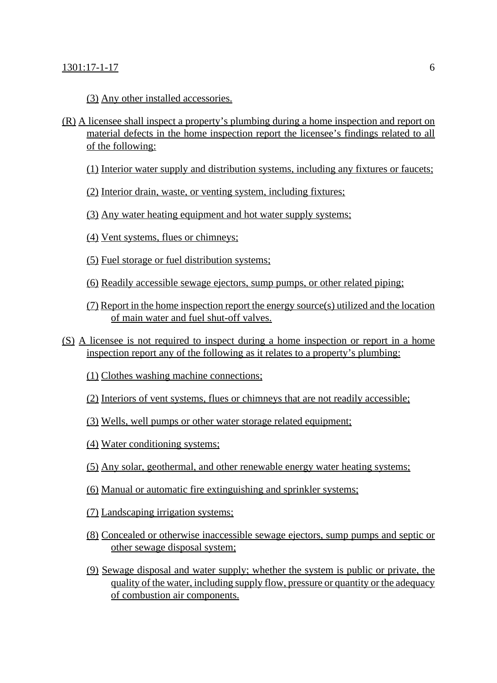(3) Any other installed accessories.

- (R) A licensee shall inspect a property's plumbing during a home inspection and report on material defects in the home inspection report the licensee's findings related to all of the following:
	- (1) Interior water supply and distribution systems, including any fixtures or faucets;
	- (2) Interior drain, waste, or venting system, including fixtures;
	- (3) Any water heating equipment and hot water supply systems;
	- (4) Vent systems, flues or chimneys;
	- (5) Fuel storage or fuel distribution systems;
	- (6) Readily accessible sewage ejectors, sump pumps, or other related piping;
	- (7) Report in the home inspection report the energy source(s) utilized and the location of main water and fuel shut-off valves.
- (S) A licensee is not required to inspect during a home inspection or report in a home inspection report any of the following as it relates to a property's plumbing:
	- (1) Clothes washing machine connections;
	- (2) Interiors of vent systems, flues or chimneys that are not readily accessible;
	- (3) Wells, well pumps or other water storage related equipment;
	- (4) Water conditioning systems;
	- (5) Any solar, geothermal, and other renewable energy water heating systems;
	- (6) Manual or automatic fire extinguishing and sprinkler systems;
	- (7) Landscaping irrigation systems;
	- (8) Concealed or otherwise inaccessible sewage ejectors, sump pumps and septic or other sewage disposal system;
	- (9) Sewage disposal and water supply; whether the system is public or private, the quality of the water, including supply flow, pressure or quantity or the adequacy of combustion air components.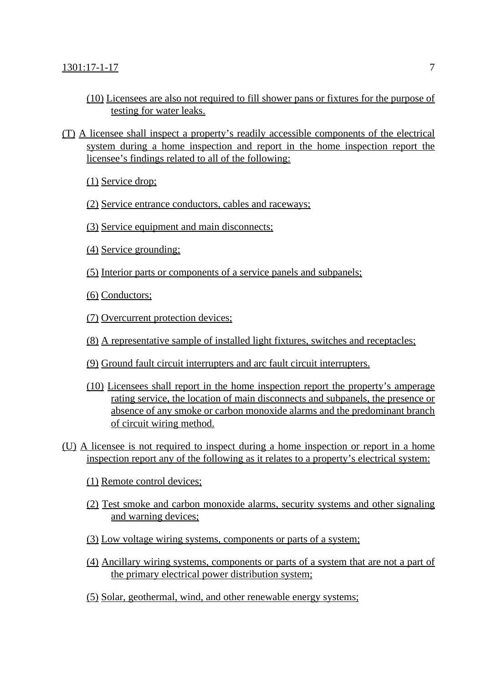- (10) Licensees are also not required to fill shower pans or fixtures for the purpose of testing for water leaks.
- (T) A licensee shall inspect a property's readily accessible components of the electrical system during a home inspection and report in the home inspection report the licensee's findings related to all of the following:
	- (1) Service drop;
	- (2) Service entrance conductors, cables and raceways;
	- (3) Service equipment and main disconnects;
	- (4) Service grounding;
	- (5) Interior parts or components of a service panels and subpanels;
	- (6) Conductors;
	- (7) Overcurrent protection devices;
	- (8) A representative sample of installed light fixtures, switches and receptacles;
	- (9) Ground fault circuit interrupters and arc fault circuit interrupters.
	- (10) Licensees shall report in the home inspection report the property's amperage rating service, the location of main disconnects and subpanels, the presence or absence of any smoke or carbon monoxide alarms and the predominant branch of circuit wiring method.
- (U) A licensee is not required to inspect during a home inspection or report in a home inspection report any of the following as it relates to a property's electrical system:
	- (1) Remote control devices;
	- (2) Test smoke and carbon monoxide alarms, security systems and other signaling and warning devices;
	- (3) Low voltage wiring systems, components or parts of a system;
	- (4) Ancillary wiring systems, components or parts of a system that are not a part of the primary electrical power distribution system;
	- (5) Solar, geothermal, wind, and other renewable energy systems;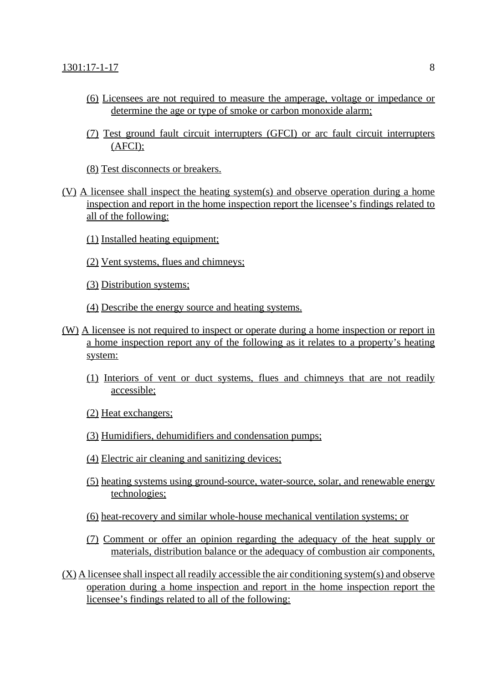- (6) Licensees are not required to measure the amperage, voltage or impedance or determine the age or type of smoke or carbon monoxide alarm;
- (7) Test ground fault circuit interrupters (GFCI) or arc fault circuit interrupters (AFCI);
- (8) Test disconnects or breakers.
- (V) A licensee shall inspect the heating system(s) and observe operation during a home inspection and report in the home inspection report the licensee's findings related to all of the following:
	- (1) Installed heating equipment;
	- (2) Vent systems, flues and chimneys;
	- (3) Distribution systems;
	- (4) Describe the energy source and heating systems.
- (W) A licensee is not required to inspect or operate during a home inspection or report in a home inspection report any of the following as it relates to a property's heating system:
	- (1) Interiors of vent or duct systems, flues and chimneys that are not readily accessible;
	- (2) Heat exchangers;
	- (3) Humidifiers, dehumidifiers and condensation pumps;
	- (4) Electric air cleaning and sanitizing devices;
	- (5) heating systems using ground-source, water-source, solar, and renewable energy technologies;
	- (6) heat-recovery and similar whole-house mechanical ventilation systems; or
	- (7) Comment or offer an opinion regarding the adequacy of the heat supply or materials, distribution balance or the adequacy of combustion air components,
- (X) A licensee shall inspect all readily accessible the air conditioning system(s) and observe operation during a home inspection and report in the home inspection report the licensee's findings related to all of the following: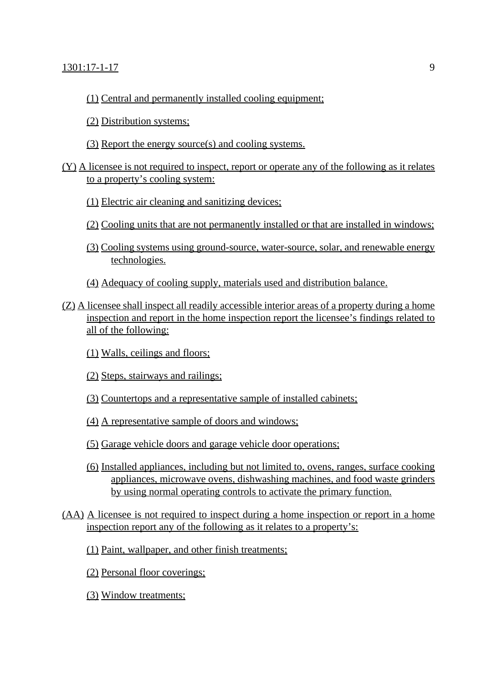- (1) Central and permanently installed cooling equipment;
- (2) Distribution systems;
- (3) Report the energy source(s) and cooling systems.

## (Y) A licensee is not required to inspect, report or operate any of the following as it relates to a property's cooling system:

- (1) Electric air cleaning and sanitizing devices;
- (2) Cooling units that are not permanently installed or that are installed in windows;
- (3) Cooling systems using ground-source, water-source, solar, and renewable energy technologies.
- (4) Adequacy of cooling supply, materials used and distribution balance.
- (Z) A licensee shall inspect all readily accessible interior areas of a property during a home inspection and report in the home inspection report the licensee's findings related to all of the following:
	- (1) Walls, ceilings and floors;
	- (2) Steps, stairways and railings;
	- (3) Countertops and a representative sample of installed cabinets;
	- (4) A representative sample of doors and windows;
	- (5) Garage vehicle doors and garage vehicle door operations;
	- (6) Installed appliances, including but not limited to, ovens, ranges, surface cooking appliances, microwave ovens, dishwashing machines, and food waste grinders by using normal operating controls to activate the primary function.
- (AA) A licensee is not required to inspect during a home inspection or report in a home inspection report any of the following as it relates to a property's:
	- (1) Paint, wallpaper, and other finish treatments;
	- (2) Personal floor coverings;
	- (3) Window treatments;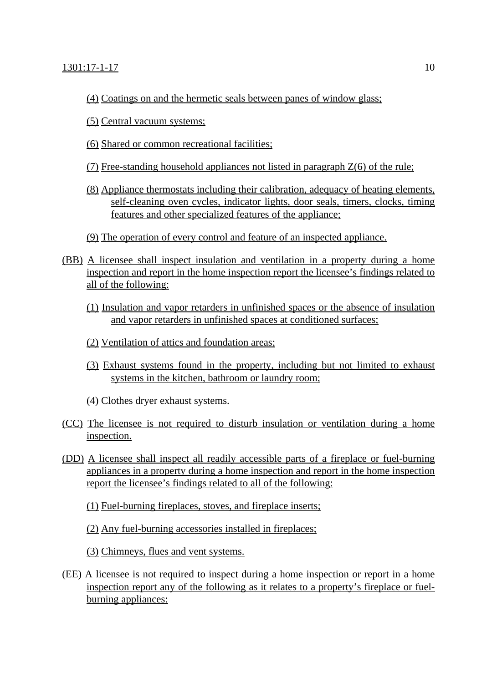- (4) Coatings on and the hermetic seals between panes of window glass;
- (5) Central vacuum systems;
- (6) Shared or common recreational facilities;
- (7) Free-standing household appliances not listed in paragraph Z(6) of the rule;
- (8) Appliance thermostats including their calibration, adequacy of heating elements, self-cleaning oven cycles, indicator lights, door seals, timers, clocks, timing features and other specialized features of the appliance;
- (9) The operation of every control and feature of an inspected appliance.
- (BB) A licensee shall inspect insulation and ventilation in a property during a home inspection and report in the home inspection report the licensee's findings related to all of the following:
	- (1) Insulation and vapor retarders in unfinished spaces or the absence of insulation and vapor retarders in unfinished spaces at conditioned surfaces;
	- (2) Ventilation of attics and foundation areas;
	- (3) Exhaust systems found in the property, including but not limited to exhaust systems in the kitchen, bathroom or laundry room;
	- (4) Clothes dryer exhaust systems.
- (CC) The licensee is not required to disturb insulation or ventilation during a home inspection.
- (DD) A licensee shall inspect all readily accessible parts of a fireplace or fuel-burning appliances in a property during a home inspection and report in the home inspection report the licensee's findings related to all of the following:

(1) Fuel-burning fireplaces, stoves, and fireplace inserts;

(2) Any fuel-burning accessories installed in fireplaces;

(3) Chimneys, flues and vent systems.

(EE) A licensee is not required to inspect during a home inspection or report in a home inspection report any of the following as it relates to a property's fireplace or fuelburning appliances: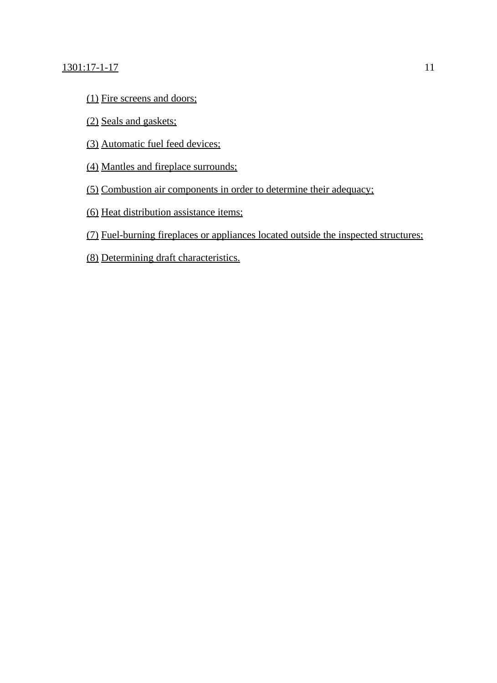## 1301:17-1-17 11

- (1) Fire screens and doors;
- (2) Seals and gaskets;
- (3) Automatic fuel feed devices;
- (4) Mantles and fireplace surrounds;
- (5) Combustion air components in order to determine their adequacy;
- (6) Heat distribution assistance items;
- (7) Fuel-burning fireplaces or appliances located outside the inspected structures;
- (8) Determining draft characteristics.